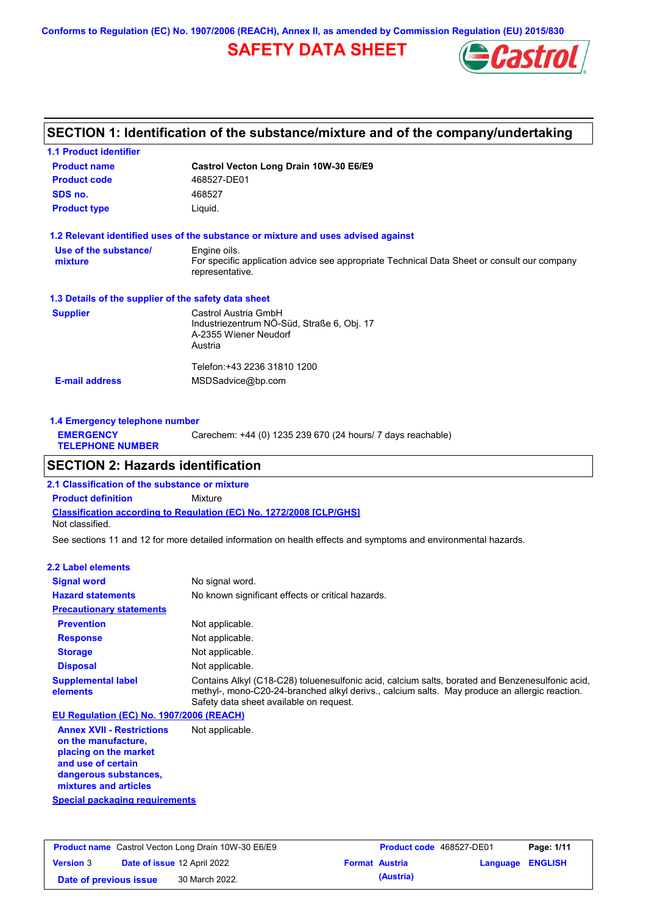**Conforms to Regulation (EC) No. 1907/2006 (REACH), Annex II, as amended by Commission Regulation (EU) 2015/830**

# **SAFETY DATA SHEET**



# **SECTION 1: Identification of the substance/mixture and of the company/undertaking**

| <b>1.1 Product identifier</b>                        |                                                                                                                |
|------------------------------------------------------|----------------------------------------------------------------------------------------------------------------|
| <b>Product name</b>                                  | Castrol Vecton Long Drain 10W-30 E6/E9                                                                         |
| <b>Product code</b>                                  | 468527-DE01                                                                                                    |
| SDS no.                                              | 468527                                                                                                         |
| <b>Product type</b>                                  | Liquid.                                                                                                        |
|                                                      | 1.2 Relevant identified uses of the substance or mixture and uses advised against                              |
| Use of the substance/                                | Engine oils.                                                                                                   |
| mixture                                              | For specific application advice see appropriate Technical Data Sheet or consult our company<br>representative. |
| 1.3 Details of the supplier of the safety data sheet |                                                                                                                |
| <b>Supplier</b>                                      | Castrol Austria GmbH                                                                                           |
|                                                      | Industriezentrum NÖ-Süd, Straße 6, Obj. 17                                                                     |
|                                                      | A-2355 Wiener Neudorf<br>Austria                                                                               |
|                                                      |                                                                                                                |
|                                                      | Telefon:+43 2236 31810 1200                                                                                    |
| <b>E-mail address</b>                                | MSDSadvice@bp.com                                                                                              |
|                                                      |                                                                                                                |
|                                                      |                                                                                                                |

| 1.4 Emergency telephone number              |                                                             |
|---------------------------------------------|-------------------------------------------------------------|
| <b>EMERGENCY</b><br><b>TELEPHONE NUMBER</b> | Carechem: +44 (0) 1235 239 670 (24 hours/ 7 days reachable) |
|                                             |                                                             |

# **SECTION 2: Hazards identification**

**Classification according to Regulation (EC) No. 1272/2008 [CLP/GHS] 2.1 Classification of the substance or mixture Product definition** Mixture Not classified.

See sections 11 and 12 for more detailed information on health effects and symptoms and environmental hazards.

### **2.2 Label elements**

| <b>Signal word</b>                       | No signal word.                                                                                                                                                                                                                             |
|------------------------------------------|---------------------------------------------------------------------------------------------------------------------------------------------------------------------------------------------------------------------------------------------|
| <b>Hazard statements</b>                 | No known significant effects or critical hazards.                                                                                                                                                                                           |
| <b>Precautionary statements</b>          |                                                                                                                                                                                                                                             |
| <b>Prevention</b>                        | Not applicable.                                                                                                                                                                                                                             |
| <b>Response</b>                          | Not applicable.                                                                                                                                                                                                                             |
| <b>Storage</b>                           | Not applicable.                                                                                                                                                                                                                             |
| <b>Disposal</b>                          | Not applicable.                                                                                                                                                                                                                             |
| <b>Supplemental label</b><br>elements    | Contains Alkyl (C18-C28) toluenesulfonic acid, calcium salts, borated and Benzenesulfonic acid,<br>methyl-, mono-C20-24-branched alkyl derivs., calcium salts. May produce an allergic reaction.<br>Safety data sheet available on request. |
| EU Regulation (EC) No. 1907/2006 (REACH) |                                                                                                                                                                                                                                             |
|                                          |                                                                                                                                                                                                                                             |

**Annex XVII - Restrictions on the manufacture, placing on the market and use of certain dangerous substances, mixtures and articles** Not applicable.

**Special packaging requirements**

|                        | <b>Product name</b> Castrol Vecton Long Drain 10W-30 E6/E9 | <b>Product code</b> 468527-DE01 |                         | Page: 1/11 |
|------------------------|------------------------------------------------------------|---------------------------------|-------------------------|------------|
| <b>Version 3</b>       | <b>Date of issue 12 April 2022</b>                         | <b>Format Austria</b>           | <b>Language ENGLISH</b> |            |
| Date of previous issue | 30 March 2022.                                             | (Austria)                       |                         |            |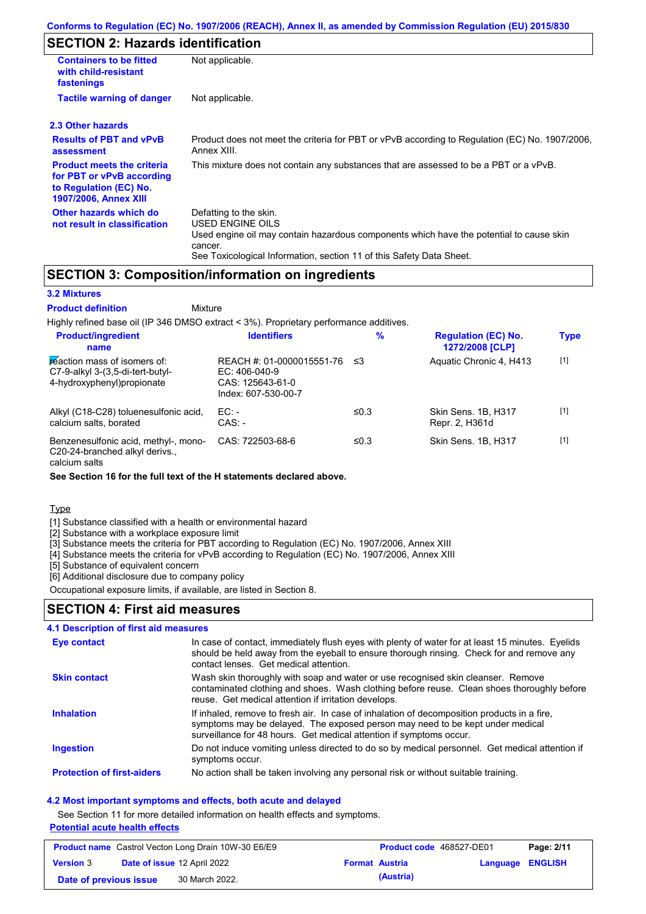### **SECTION 2: Hazards identification**

| <b>Containers to be fitted</b><br>with child-resistant<br>fastenings                                                     | Not applicable.                                                                                                                                                                                                          |
|--------------------------------------------------------------------------------------------------------------------------|--------------------------------------------------------------------------------------------------------------------------------------------------------------------------------------------------------------------------|
| <b>Tactile warning of danger</b>                                                                                         | Not applicable.                                                                                                                                                                                                          |
| 2.3 Other hazards                                                                                                        |                                                                                                                                                                                                                          |
| <b>Results of PBT and vPvB</b><br>assessment                                                                             | Product does not meet the criteria for PBT or vPvB according to Regulation (EC) No. 1907/2006,<br>Annex XIII.                                                                                                            |
| <b>Product meets the criteria</b><br>for PBT or vPvB according<br>to Regulation (EC) No.<br><b>1907/2006, Annex XIII</b> | This mixture does not contain any substances that are assessed to be a PBT or a vPvB.                                                                                                                                    |
| Other hazards which do<br>not result in classification                                                                   | Defatting to the skin.<br>USED ENGINE OILS<br>Used engine oil may contain hazardous components which have the potential to cause skin<br>cancer.<br>See Toxicological Information, section 11 of this Safety Data Sheet. |

## **SECTION 3: Composition/information on ingredients**

**Mixture** 

### **3.2 Mixtures**

**Product definition**

Highly refined base oil (IP 346 DMSO extract < 3%). Proprietary performance additives. **Product/ingredient % Regulation (EC) No.**

| <b>Product/ingredient</b><br>name                                                               | <b>Identifiers</b>                                                                      | $\%$ | <b>Regulation (EC) No.</b><br>1272/2008 [CLP] | <b>Type</b> |
|-------------------------------------------------------------------------------------------------|-----------------------------------------------------------------------------------------|------|-----------------------------------------------|-------------|
| reaction mass of isomers of:<br>C7-9-alkyl 3-(3,5-di-tert-butyl-<br>4-hydroxyphenyl) propionate | REACH #: 01-0000015551-76<br>EC: $406-040-9$<br>CAS: 125643-61-0<br>Index: 607-530-00-7 | -≤3  | Aquatic Chronic 4, H413                       | $[1]$       |
| Alkyl (C18-C28) toluenesulfonic acid,<br>calcium salts, borated                                 | $EC:$ -<br>$CAS: -$                                                                     | ≤0.3 | Skin Sens, 1B, H317<br>Repr. 2, H361d         | $[1]$       |
| Benzenesulfonic acid, methyl-, mono-<br>C20-24-branched alkyl derivs.,                          | CAS: 722503-68-6                                                                        | ≤0.3 | Skin Sens, 1B, H317                           | $[1]$       |

calcium salts

**See Section 16 for the full text of the H statements declared above.**

Type

[1] Substance classified with a health or environmental hazard

[2] Substance with a workplace exposure limit

[3] Substance meets the criteria for PBT according to Regulation (EC) No. 1907/2006, Annex XIII

[4] Substance meets the criteria for vPvB according to Regulation (EC) No. 1907/2006, Annex XIII

[5] Substance of equivalent concern

[6] Additional disclosure due to company policy

Occupational exposure limits, if available, are listed in Section 8.

## **SECTION 4: First aid measures**

#### Do not induce vomiting unless directed to do so by medical personnel. Get medical attention if symptoms occur. In case of contact, immediately flush eyes with plenty of water for at least 15 minutes. Eyelids should be held away from the eyeball to ensure thorough rinsing. Check for and remove any contact lenses. Get medical attention. **4.1 Description of first aid measures** If inhaled, remove to fresh air. In case of inhalation of decomposition products in a fire, symptoms may be delayed. The exposed person may need to be kept under medical surveillance for 48 hours. Get medical attention if symptoms occur. **Ingestion Inhalation Eye contact Protection of first-aiders** No action shall be taken involving any personal risk or without suitable training. **Skin contact** Wash skin thoroughly with soap and water or use recognised skin cleanser. Remove contaminated clothing and shoes. Wash clothing before reuse. Clean shoes thoroughly before reuse. Get medical attention if irritation develops.

### **4.2 Most important symptoms and effects, both acute and delayed**

See Section 11 for more detailed information on health effects and symptoms.

**Potential acute health effects**

|                        | <b>Product name</b> Castrol Vecton Long Drain 10W-30 E6/E9 | <b>Product code</b> 468527-DE01 |                  | Page: 2/11 |
|------------------------|------------------------------------------------------------|---------------------------------|------------------|------------|
| <b>Version 3</b>       | Date of issue 12 April 2022                                | <b>Format Austria</b>           | Language ENGLISH |            |
| Date of previous issue | 30 March 2022.                                             | (Austria)                       |                  |            |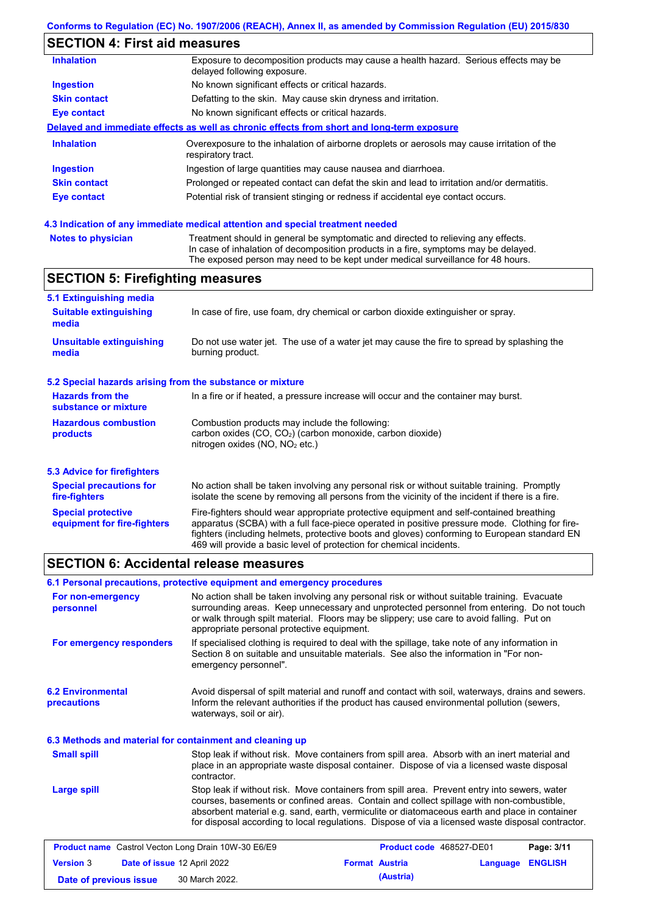# **SECTION 4: First aid measures**

| <b>Inhalation</b>   | Exposure to decomposition products may cause a health hazard. Serious effects may be<br>delayed following exposure. |
|---------------------|---------------------------------------------------------------------------------------------------------------------|
| <b>Ingestion</b>    | No known significant effects or critical hazards.                                                                   |
| <b>Skin contact</b> | Defatting to the skin. May cause skin dryness and irritation.                                                       |
| Eye contact         | No known significant effects or critical hazards.                                                                   |
|                     | Delayed and immediate effects as well as chronic effects from short and long-term exposure                          |
| <b>Inhalation</b>   | Overexposure to the inhalation of airborne droplets or aerosols may cause irritation of the<br>respiratory tract.   |
| <b>Ingestion</b>    | Ingestion of large quantities may cause nausea and diarrhoea.                                                       |
| <b>Skin contact</b> | Prolonged or repeated contact can defat the skin and lead to irritation and/or dermatitis.                          |
| Eye contact         | Potential risk of transient stinging or redness if accidental eye contact occurs.                                   |
|                     |                                                                                                                     |

### **4.3 Indication of any immediate medical attention and special treatment needed**

| <b>Notes to physician</b> | Treatment should in general be symptomatic and directed to relieving any effects.   |
|---------------------------|-------------------------------------------------------------------------------------|
|                           | In case of inhalation of decomposition products in a fire, symptoms may be delayed. |
|                           | The exposed person may need to be kept under medical surveillance for 48 hours.     |

# **SECTION 5: Firefighting measures**

| 5.1 Extinguishing media                                                                                                                                                                                                                                                                                                                                                                                                       |                                                                                                                                                       |
|-------------------------------------------------------------------------------------------------------------------------------------------------------------------------------------------------------------------------------------------------------------------------------------------------------------------------------------------------------------------------------------------------------------------------------|-------------------------------------------------------------------------------------------------------------------------------------------------------|
| <b>Suitable extinguishing</b><br>media                                                                                                                                                                                                                                                                                                                                                                                        | In case of fire, use foam, dry chemical or carbon dioxide extinguisher or spray.                                                                      |
| <b>Unsuitable extinguishing</b><br>media                                                                                                                                                                                                                                                                                                                                                                                      | Do not use water jet. The use of a water jet may cause the fire to spread by splashing the<br>burning product.                                        |
| 5.2 Special hazards arising from the substance or mixture                                                                                                                                                                                                                                                                                                                                                                     |                                                                                                                                                       |
| <b>Hazards from the</b><br>substance or mixture                                                                                                                                                                                                                                                                                                                                                                               | In a fire or if heated, a pressure increase will occur and the container may burst.                                                                   |
| <b>Hazardous combustion</b><br>products                                                                                                                                                                                                                                                                                                                                                                                       | Combustion products may include the following:<br>carbon oxides $(CO, CO2)$ (carbon monoxide, carbon dioxide)<br>nitrogen oxides ( $NO$ , $NO2$ etc.) |
| 5.3 Advice for firefighters                                                                                                                                                                                                                                                                                                                                                                                                   |                                                                                                                                                       |
| No action shall be taken involving any personal risk or without suitable training. Promptly<br><b>Special precautions for</b><br>isolate the scene by removing all persons from the vicinity of the incident if there is a fire.<br>fire-fighters                                                                                                                                                                             |                                                                                                                                                       |
| Fire-fighters should wear appropriate protective equipment and self-contained breathing<br><b>Special protective</b><br>apparatus (SCBA) with a full face-piece operated in positive pressure mode. Clothing for fire-<br>equipment for fire-fighters<br>fighters (including helmets, protective boots and gloves) conforming to European standard EN<br>469 will provide a basic level of protection for chemical incidents. |                                                                                                                                                       |

# **SECTION 6: Accidental release measures**

| 6.1 Personal precautions, protective equipment and emergency procedures |                                            |                                                                                                                                                                                                                                                                                                                                                                                                |          |                |
|-------------------------------------------------------------------------|--------------------------------------------|------------------------------------------------------------------------------------------------------------------------------------------------------------------------------------------------------------------------------------------------------------------------------------------------------------------------------------------------------------------------------------------------|----------|----------------|
| For non-emergency<br>personnel                                          | appropriate personal protective equipment. | No action shall be taken involving any personal risk or without suitable training. Evacuate<br>surrounding areas. Keep unnecessary and unprotected personnel from entering. Do not touch<br>or walk through spilt material. Floors may be slippery; use care to avoid falling. Put on                                                                                                          |          |                |
| For emergency responders                                                | emergency personnel".                      | If specialised clothing is required to deal with the spillage, take note of any information in<br>Section 8 on suitable and unsuitable materials. See also the information in "For non-                                                                                                                                                                                                        |          |                |
| <b>6.2 Environmental</b><br>precautions                                 | waterways, soil or air).                   | Avoid dispersal of spilt material and runoff and contact with soil, waterways, drains and sewers.<br>Inform the relevant authorities if the product has caused environmental pollution (sewers,                                                                                                                                                                                                |          |                |
| 6.3 Methods and material for containment and cleaning up                |                                            |                                                                                                                                                                                                                                                                                                                                                                                                |          |                |
| <b>Small spill</b>                                                      | contractor.                                | Stop leak if without risk. Move containers from spill area. Absorb with an inert material and<br>place in an appropriate waste disposal container. Dispose of via a licensed waste disposal                                                                                                                                                                                                    |          |                |
| Large spill                                                             |                                            | Stop leak if without risk. Move containers from spill area. Prevent entry into sewers, water<br>courses, basements or confined areas. Contain and collect spillage with non-combustible,<br>absorbent material e.g. sand, earth, vermiculite or diatomaceous earth and place in container<br>for disposal according to local regulations. Dispose of via a licensed waste disposal contractor. |          |                |
| <b>Product name</b> Castrol Vecton Long Drain 10W-30 E6/E9              |                                            | Product code 468527-DE01                                                                                                                                                                                                                                                                                                                                                                       |          | Page: 3/11     |
| <b>Version 3</b><br>Date of issue 12 April 2022                         |                                            | <b>Format Austria</b>                                                                                                                                                                                                                                                                                                                                                                          | Language | <b>ENGLISH</b> |

**Date of previous issue (Austria)** 30 March 2022.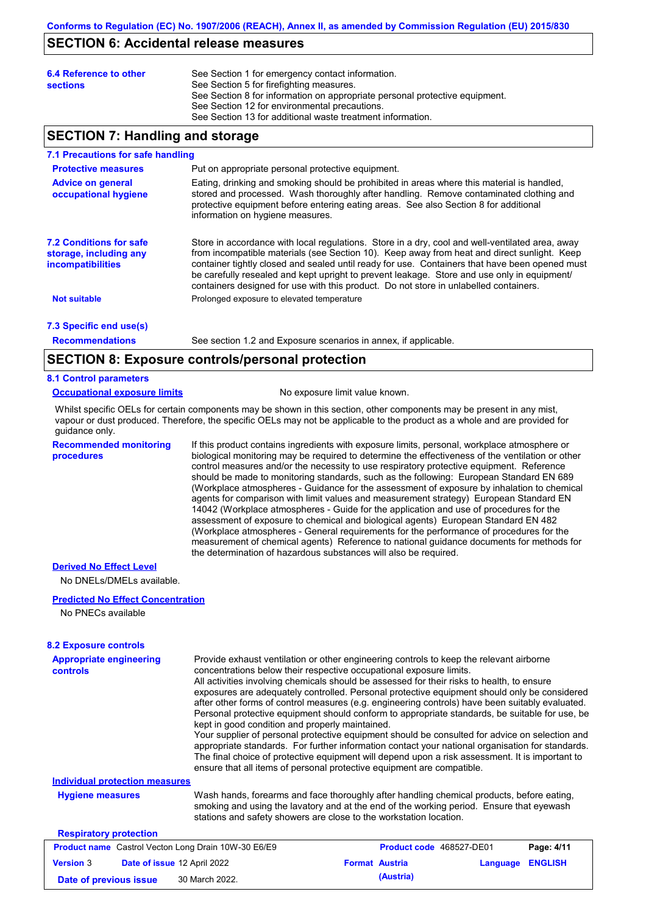### **SECTION 6: Accidental release measures**

| 6.4 Reference to other<br><b>sections</b> | See Section 1 for emergency contact information.<br>See Section 5 for firefighting measures.<br>See Section 8 for information on appropriate personal protective equipment.<br>See Section 12 for environmental precautions. |
|-------------------------------------------|------------------------------------------------------------------------------------------------------------------------------------------------------------------------------------------------------------------------------|
|                                           | See Section 13 for additional waste treatment information.                                                                                                                                                                   |

### **SECTION 7: Handling and storage**

#### **7.1 Precautions for safe handling**

| <b>Protective measures</b>                                                           | Put on appropriate personal protective equipment.                                                                                                                                                                                                                                                                                                                                                                                                                                        |
|--------------------------------------------------------------------------------------|------------------------------------------------------------------------------------------------------------------------------------------------------------------------------------------------------------------------------------------------------------------------------------------------------------------------------------------------------------------------------------------------------------------------------------------------------------------------------------------|
| <b>Advice on general</b><br>occupational hygiene                                     | Eating, drinking and smoking should be prohibited in areas where this material is handled,<br>stored and processed. Wash thoroughly after handling. Remove contaminated clothing and<br>protective equipment before entering eating areas. See also Section 8 for additional<br>information on hygiene measures.                                                                                                                                                                         |
| <b>7.2 Conditions for safe</b><br>storage, including any<br><b>incompatibilities</b> | Store in accordance with local regulations. Store in a dry, cool and well-ventilated area, away<br>from incompatible materials (see Section 10). Keep away from heat and direct sunlight. Keep<br>container tightly closed and sealed until ready for use. Containers that have been opened must<br>be carefully resealed and kept upright to prevent leakage. Store and use only in equipment/<br>containers designed for use with this product. Do not store in unlabelled containers. |
| <b>Not suitable</b>                                                                  | Prolonged exposure to elevated temperature                                                                                                                                                                                                                                                                                                                                                                                                                                               |
| 7.3 Specific end use(s)                                                              |                                                                                                                                                                                                                                                                                                                                                                                                                                                                                          |

**Recommendations**

See section 1.2 and Exposure scenarios in annex, if applicable.

### **SECTION 8: Exposure controls/personal protection**

### **8.1 Control parameters**

**Occupational exposure limits** No exposure limit value known.

Whilst specific OELs for certain components may be shown in this section, other components may be present in any mist, vapour or dust produced. Therefore, the specific OELs may not be applicable to the product as a whole and are provided for guidance only.

**Recommended monitoring procedures**

If this product contains ingredients with exposure limits, personal, workplace atmosphere or biological monitoring may be required to determine the effectiveness of the ventilation or other control measures and/or the necessity to use respiratory protective equipment. Reference should be made to monitoring standards, such as the following: European Standard EN 689 (Workplace atmospheres - Guidance for the assessment of exposure by inhalation to chemical agents for comparison with limit values and measurement strategy) European Standard EN 14042 (Workplace atmospheres - Guide for the application and use of procedures for the assessment of exposure to chemical and biological agents) European Standard EN 482 (Workplace atmospheres - General requirements for the performance of procedures for the measurement of chemical agents) Reference to national guidance documents for methods for the determination of hazardous substances will also be required.

#### **Derived No Effect Level**

No DNELs/DMELs available.

### **Predicted No Effect Concentration**

No PNECs available

#### **8.2 Exposure controls**

| <b>Appropriate engineering</b><br>controls                 | Provide exhaust ventilation or other engineering controls to keep the relevant airborne<br>concentrations below their respective occupational exposure limits.<br>All activities involving chemicals should be assessed for their risks to health, to ensure<br>exposures are adequately controlled. Personal protective equipment should only be considered<br>after other forms of control measures (e.g. engineering controls) have been suitably evaluated.<br>Personal protective equipment should conform to appropriate standards, be suitable for use, be<br>kept in good condition and properly maintained.<br>Your supplier of personal protective equipment should be consulted for advice on selection and<br>appropriate standards. For further information contact your national organisation for standards.<br>The final choice of protective equipment will depend upon a risk assessment. It is important to<br>ensure that all items of personal protective equipment are compatible. |  |                          |          |                |
|------------------------------------------------------------|---------------------------------------------------------------------------------------------------------------------------------------------------------------------------------------------------------------------------------------------------------------------------------------------------------------------------------------------------------------------------------------------------------------------------------------------------------------------------------------------------------------------------------------------------------------------------------------------------------------------------------------------------------------------------------------------------------------------------------------------------------------------------------------------------------------------------------------------------------------------------------------------------------------------------------------------------------------------------------------------------------|--|--------------------------|----------|----------------|
| Individual protection measures                             |                                                                                                                                                                                                                                                                                                                                                                                                                                                                                                                                                                                                                                                                                                                                                                                                                                                                                                                                                                                                         |  |                          |          |                |
| <b>Hygiene measures</b>                                    | Wash hands, forearms and face thoroughly after handling chemical products, before eating,<br>smoking and using the lavatory and at the end of the working period. Ensure that eyewash<br>stations and safety showers are close to the workstation location.                                                                                                                                                                                                                                                                                                                                                                                                                                                                                                                                                                                                                                                                                                                                             |  |                          |          |                |
| <b>Respiratory protection</b>                              |                                                                                                                                                                                                                                                                                                                                                                                                                                                                                                                                                                                                                                                                                                                                                                                                                                                                                                                                                                                                         |  |                          |          |                |
| <b>Product name</b> Castrol Vecton Long Drain 10W-30 E6/E9 |                                                                                                                                                                                                                                                                                                                                                                                                                                                                                                                                                                                                                                                                                                                                                                                                                                                                                                                                                                                                         |  | Product code 468527-DE01 |          | Page: 4/11     |
| <b>Version 3</b><br>Date of issue 12 April 2022            |                                                                                                                                                                                                                                                                                                                                                                                                                                                                                                                                                                                                                                                                                                                                                                                                                                                                                                                                                                                                         |  | <b>Format Austria</b>    | Language | <b>ENGLISH</b> |
| Date of previous issue                                     | 30 March 2022.                                                                                                                                                                                                                                                                                                                                                                                                                                                                                                                                                                                                                                                                                                                                                                                                                                                                                                                                                                                          |  | (Austria)                |          |                |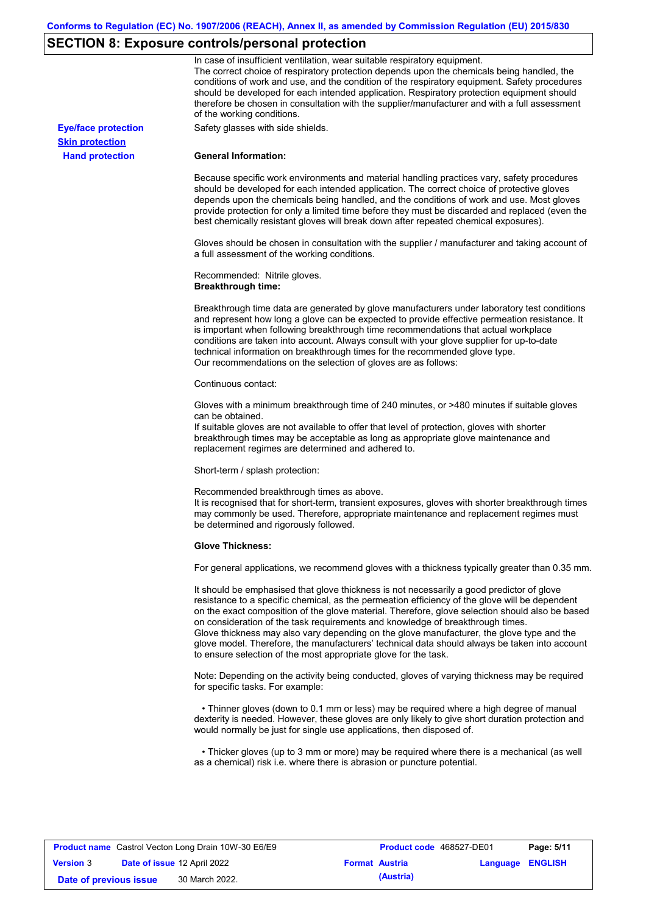# **SECTION 8: Exposure controls/personal protection**

|                            | In case of insufficient ventilation, wear suitable respiratory equipment.<br>The correct choice of respiratory protection depends upon the chemicals being handled, the<br>conditions of work and use, and the condition of the respiratory equipment. Safety procedures<br>should be developed for each intended application. Respiratory protection equipment should<br>therefore be chosen in consultation with the supplier/manufacturer and with a full assessment<br>of the working conditions.                                                                                                                                             |
|----------------------------|---------------------------------------------------------------------------------------------------------------------------------------------------------------------------------------------------------------------------------------------------------------------------------------------------------------------------------------------------------------------------------------------------------------------------------------------------------------------------------------------------------------------------------------------------------------------------------------------------------------------------------------------------|
| <b>Eye/face protection</b> | Safety glasses with side shields.                                                                                                                                                                                                                                                                                                                                                                                                                                                                                                                                                                                                                 |
| <b>Skin protection</b>     |                                                                                                                                                                                                                                                                                                                                                                                                                                                                                                                                                                                                                                                   |
| <b>Hand protection</b>     | <b>General Information:</b>                                                                                                                                                                                                                                                                                                                                                                                                                                                                                                                                                                                                                       |
|                            | Because specific work environments and material handling practices vary, safety procedures<br>should be developed for each intended application. The correct choice of protective gloves<br>depends upon the chemicals being handled, and the conditions of work and use. Most gloves<br>provide protection for only a limited time before they must be discarded and replaced (even the<br>best chemically resistant gloves will break down after repeated chemical exposures).                                                                                                                                                                  |
|                            | Gloves should be chosen in consultation with the supplier / manufacturer and taking account of<br>a full assessment of the working conditions.                                                                                                                                                                                                                                                                                                                                                                                                                                                                                                    |
|                            | Recommended: Nitrile gloves.<br><b>Breakthrough time:</b>                                                                                                                                                                                                                                                                                                                                                                                                                                                                                                                                                                                         |
|                            | Breakthrough time data are generated by glove manufacturers under laboratory test conditions<br>and represent how long a glove can be expected to provide effective permeation resistance. It<br>is important when following breakthrough time recommendations that actual workplace<br>conditions are taken into account. Always consult with your glove supplier for up-to-date<br>technical information on breakthrough times for the recommended glove type.<br>Our recommendations on the selection of gloves are as follows:                                                                                                                |
|                            | Continuous contact:                                                                                                                                                                                                                                                                                                                                                                                                                                                                                                                                                                                                                               |
|                            | Gloves with a minimum breakthrough time of 240 minutes, or >480 minutes if suitable gloves<br>can be obtained.<br>If suitable gloves are not available to offer that level of protection, gloves with shorter<br>breakthrough times may be acceptable as long as appropriate glove maintenance and<br>replacement regimes are determined and adhered to.                                                                                                                                                                                                                                                                                          |
|                            | Short-term / splash protection:                                                                                                                                                                                                                                                                                                                                                                                                                                                                                                                                                                                                                   |
|                            | Recommended breakthrough times as above.<br>It is recognised that for short-term, transient exposures, gloves with shorter breakthrough times<br>may commonly be used. Therefore, appropriate maintenance and replacement regimes must<br>be determined and rigorously followed.                                                                                                                                                                                                                                                                                                                                                                  |
|                            | <b>Glove Thickness:</b>                                                                                                                                                                                                                                                                                                                                                                                                                                                                                                                                                                                                                           |
|                            | For general applications, we recommend gloves with a thickness typically greater than 0.35 mm.                                                                                                                                                                                                                                                                                                                                                                                                                                                                                                                                                    |
|                            | It should be emphasised that glove thickness is not necessarily a good predictor of glove<br>resistance to a specific chemical, as the permeation efficiency of the glove will be dependent<br>on the exact composition of the glove material. Therefore, glove selection should also be based<br>on consideration of the task requirements and knowledge of breakthrough times.<br>Glove thickness may also vary depending on the glove manufacturer, the glove type and the<br>glove model. Therefore, the manufacturers' technical data should always be taken into account<br>to ensure selection of the most appropriate glove for the task. |
|                            | Note: Depending on the activity being conducted, gloves of varying thickness may be required<br>for specific tasks. For example:                                                                                                                                                                                                                                                                                                                                                                                                                                                                                                                  |
|                            | • Thinner gloves (down to 0.1 mm or less) may be required where a high degree of manual<br>dexterity is needed. However, these gloves are only likely to give short duration protection and<br>would normally be just for single use applications, then disposed of.                                                                                                                                                                                                                                                                                                                                                                              |
|                            | • Thicker gloves (up to 3 mm or more) may be required where there is a mechanical (as well<br>as a chemical) risk i.e. where there is abrasion or puncture potential.                                                                                                                                                                                                                                                                                                                                                                                                                                                                             |

| <b>Product name</b> Castrol Vecton Long Drain 10W-30 E6/E9 |  | <b>Product code</b> 468527-DE01 |                       | Page: 5/11 |                         |  |
|------------------------------------------------------------|--|---------------------------------|-----------------------|------------|-------------------------|--|
| <b>Version 3</b>                                           |  | Date of issue 12 April 2022     | <b>Format Austria</b> |            | <b>Language ENGLISH</b> |  |
| Date of previous issue                                     |  | 30 March 2022.                  |                       | (Austria)  |                         |  |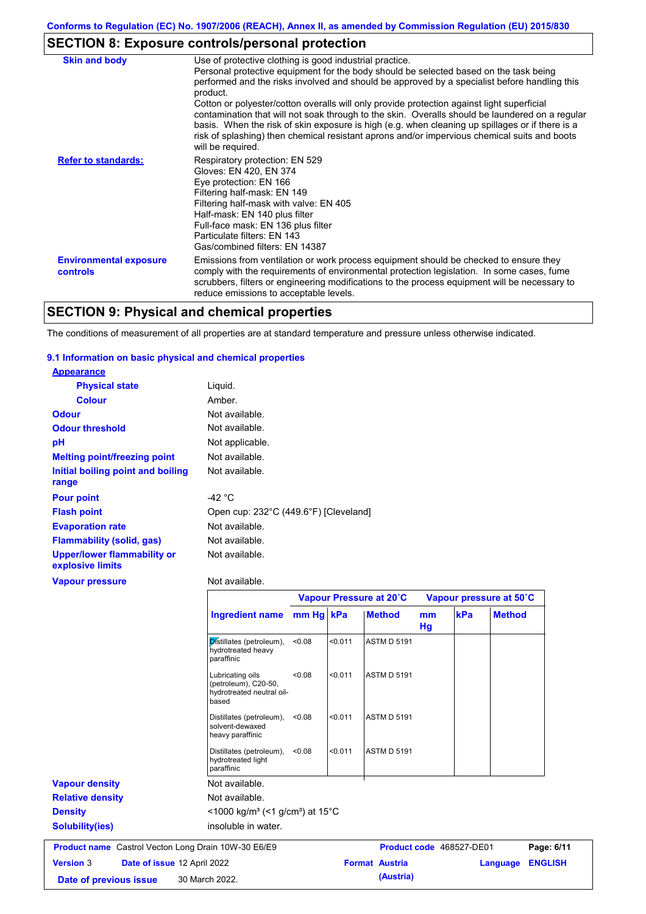# **SECTION 8: Exposure controls/personal protection**

| <b>Skin and body</b>                             | Use of protective clothing is good industrial practice.<br>Personal protective equipment for the body should be selected based on the task being<br>performed and the risks involved and should be approved by a specialist before handling this<br>product.<br>Cotton or polyester/cotton overalls will only provide protection against light superficial<br>contamination that will not soak through to the skin. Overalls should be laundered on a regular<br>basis. When the risk of skin exposure is high (e.g. when cleaning up spillages or if there is a<br>risk of splashing) then chemical resistant aprons and/or impervious chemical suits and boots<br>will be required. |
|--------------------------------------------------|---------------------------------------------------------------------------------------------------------------------------------------------------------------------------------------------------------------------------------------------------------------------------------------------------------------------------------------------------------------------------------------------------------------------------------------------------------------------------------------------------------------------------------------------------------------------------------------------------------------------------------------------------------------------------------------|
| <b>Refer to standards:</b>                       | Respiratory protection: EN 529<br>Gloves: EN 420, EN 374<br>Eye protection: EN 166<br>Filtering half-mask: EN 149<br>Filtering half-mask with valve: EN 405<br>Half-mask: EN 140 plus filter<br>Full-face mask: EN 136 plus filter<br>Particulate filters: EN 143<br>Gas/combined filters: EN 14387                                                                                                                                                                                                                                                                                                                                                                                   |
| <b>Environmental exposure</b><br><b>controls</b> | Emissions from ventilation or work process equipment should be checked to ensure they<br>comply with the requirements of environmental protection legislation. In some cases, fume<br>scrubbers, filters or engineering modifications to the process equipment will be necessary to<br>reduce emissions to acceptable levels.                                                                                                                                                                                                                                                                                                                                                         |

# **SECTION 9: Physical and chemical properties**

The conditions of measurement of all properties are at standard temperature and pressure unless otherwise indicated.

### **9.1 Information on basic physical and chemical properties**

| <b>Appearance</b>                               |                                       |
|-------------------------------------------------|---------------------------------------|
| <b>Physical state</b>                           | Liquid.                               |
| <b>Colour</b>                                   | Amber.                                |
| <b>Odour</b>                                    | Not available.                        |
| <b>Odour threshold</b>                          | Not available.                        |
| рH                                              | Not applicable.                       |
| <b>Melting point/freezing point</b>             | Not available.                        |
| Initial boiling point and boiling<br>range      | Not available.                        |
| <b>Pour point</b>                               | -42 °C                                |
| <b>Flash point</b>                              | Open cup: 232°C (449.6°F) [Cleveland] |
| <b>Evaporation rate</b>                         | Not available.                        |
| <b>Flammability (solid, gas)</b>                | Not available.                        |
| Upper/lower flammability or<br>explosive limits | Not available.                        |
| <b>Vapour pressure</b>                          | Not available.                        |

|                                                            |                                                                                |           |         | Vapour Pressure at 20°C |          |                          | Vapour pressure at 50°C |                |
|------------------------------------------------------------|--------------------------------------------------------------------------------|-----------|---------|-------------------------|----------|--------------------------|-------------------------|----------------|
|                                                            | <b>Ingredient name</b>                                                         | mm Hg kPa |         | <b>Method</b>           | mm<br>Hg | kPa                      | <b>Method</b>           |                |
|                                                            | Distillates (petroleum),<br>hydrotreated heavy<br>paraffinic                   | < 0.08    | < 0.011 | <b>ASTM D 5191</b>      |          |                          |                         |                |
|                                                            | Lubricating oils<br>(petroleum), C20-50,<br>hydrotreated neutral oil-<br>based | < 0.08    | < 0.011 | <b>ASTM D 5191</b>      |          |                          |                         |                |
|                                                            | Distillates (petroleum),<br>solvent-dewaxed<br>heavy paraffinic                | < 0.08    | < 0.011 | <b>ASTM D 5191</b>      |          |                          |                         |                |
|                                                            | Distillates (petroleum),<br>hydrotreated light<br>paraffinic                   | < 0.08    | < 0.011 | <b>ASTM D 5191</b>      |          |                          |                         |                |
| <b>Vapour density</b>                                      | Not available.                                                                 |           |         |                         |          |                          |                         |                |
| <b>Relative density</b>                                    | Not available.                                                                 |           |         |                         |          |                          |                         |                |
| <b>Density</b>                                             | $<$ 1000 kg/m <sup>3</sup> (<1 g/cm <sup>3</sup> ) at 15 <sup>°</sup> C        |           |         |                         |          |                          |                         |                |
| <b>Solubility(ies)</b>                                     | insoluble in water.                                                            |           |         |                         |          |                          |                         |                |
| <b>Product name</b> Castrol Vecton Long Drain 10W-30 E6/E9 |                                                                                |           |         |                         |          | Product code 468527-DE01 |                         | Page: 6/11     |
| <b>Version 3</b><br>Date of issue 12 April 2022            |                                                                                |           |         | <b>Format Austria</b>   |          |                          | Language                | <b>ENGLISH</b> |
| Date of previous issue                                     | 30 March 2022.                                                                 |           |         | (Austria)               |          |                          |                         |                |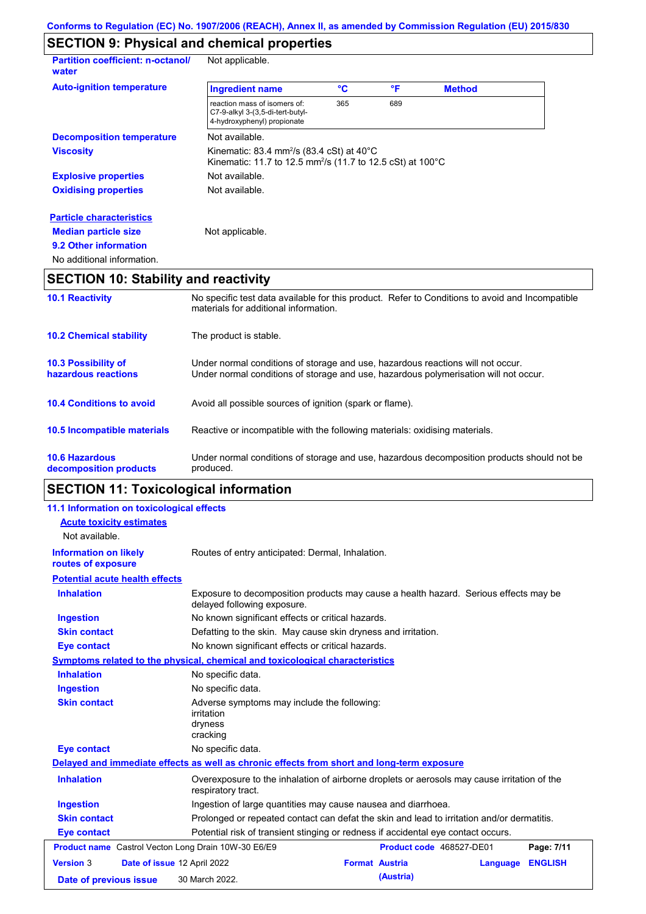# **SECTION 9: Physical and chemical properties**

| <b>Partition coefficient: n-octanol/</b><br>water | Not applicable.                                                                                                                           |     |     |               |  |
|---------------------------------------------------|-------------------------------------------------------------------------------------------------------------------------------------------|-----|-----|---------------|--|
| <b>Auto-ignition temperature</b>                  | <b>Ingredient name</b>                                                                                                                    | °C  | °F  | <b>Method</b> |  |
|                                                   | reaction mass of isomers of:<br>C7-9-alkyl 3-(3,5-di-tert-butyl-<br>4-hydroxyphenyl) propionate                                           | 365 | 689 |               |  |
| <b>Decomposition temperature</b>                  | Not available.                                                                                                                            |     |     |               |  |
| <b>Viscosity</b>                                  | Kinematic: 83.4 mm <sup>2</sup> /s (83.4 cSt) at $40^{\circ}$ C<br>Kinematic: 11.7 to 12.5 mm <sup>2</sup> /s (11.7 to 12.5 cSt) at 100°C |     |     |               |  |
| <b>Explosive properties</b>                       | Not available.                                                                                                                            |     |     |               |  |
| <b>Oxidising properties</b>                       | Not available.                                                                                                                            |     |     |               |  |
| <b>Particle characteristics</b>                   |                                                                                                                                           |     |     |               |  |
| <b>Median particle size</b>                       | Not applicable.                                                                                                                           |     |     |               |  |
| 9.2 Other information                             |                                                                                                                                           |     |     |               |  |
| No additional information.                        |                                                                                                                                           |     |     |               |  |

# **SECTION 10: Stability and reactivity**

| <b>10.1 Reactivity</b>                            | No specific test data available for this product. Refer to Conditions to avoid and Incompatible<br>materials for additional information.                                |
|---------------------------------------------------|-------------------------------------------------------------------------------------------------------------------------------------------------------------------------|
| <b>10.2 Chemical stability</b>                    | The product is stable.                                                                                                                                                  |
| <b>10.3 Possibility of</b><br>hazardous reactions | Under normal conditions of storage and use, hazardous reactions will not occur.<br>Under normal conditions of storage and use, hazardous polymerisation will not occur. |
| <b>10.4 Conditions to avoid</b>                   | Avoid all possible sources of ignition (spark or flame).                                                                                                                |
| 10.5 Incompatible materials                       | Reactive or incompatible with the following materials: oxidising materials.                                                                                             |
| <b>10.6 Hazardous</b><br>decomposition products   | Under normal conditions of storage and use, hazardous decomposition products should not be<br>produced.                                                                 |

# **SECTION 11: Toxicological information**

| 11.1 Information on toxicological effects                  |                                                                                                                     |
|------------------------------------------------------------|---------------------------------------------------------------------------------------------------------------------|
| <b>Acute toxicity estimates</b>                            |                                                                                                                     |
| Not available.                                             |                                                                                                                     |
| <b>Information on likely</b><br>routes of exposure         | Routes of entry anticipated: Dermal, Inhalation.                                                                    |
| <b>Potential acute health effects</b>                      |                                                                                                                     |
| <b>Inhalation</b>                                          | Exposure to decomposition products may cause a health hazard. Serious effects may be<br>delayed following exposure. |
| <b>Ingestion</b>                                           | No known significant effects or critical hazards.                                                                   |
| <b>Skin contact</b>                                        | Defatting to the skin. May cause skin dryness and irritation.                                                       |
| <b>Eye contact</b>                                         | No known significant effects or critical hazards.                                                                   |
|                                                            | Symptoms related to the physical, chemical and toxicological characteristics                                        |
| <b>Inhalation</b>                                          | No specific data.                                                                                                   |
| <b>Ingestion</b>                                           | No specific data.                                                                                                   |
| <b>Skin contact</b>                                        | Adverse symptoms may include the following:<br><i>irritation</i><br>dryness<br>cracking                             |
| <b>Eye contact</b>                                         | No specific data.                                                                                                   |
|                                                            | Delayed and immediate effects as well as chronic effects from short and long-term exposure                          |
| <b>Inhalation</b>                                          | Overexposure to the inhalation of airborne droplets or aerosols may cause irritation of the<br>respiratory tract.   |
| <b>Ingestion</b>                                           | Ingestion of large quantities may cause nausea and diarrhoea.                                                       |
| <b>Skin contact</b>                                        | Prolonged or repeated contact can defat the skin and lead to irritation and/or dermatitis.                          |
| <b>Eye contact</b>                                         | Potential risk of transient stinging or redness if accidental eye contact occurs.                                   |
| <b>Product name</b> Castrol Vecton Long Drain 10W-30 E6/E9 | Product code 468527-DE01<br>Page: 7/11                                                                              |
| <b>Version 3</b>                                           | Date of issue 12 April 2022<br><b>Format Austria</b><br><b>ENGLISH</b><br>Language                                  |
| Date of previous issue                                     | (Austria)<br>30 March 2022.                                                                                         |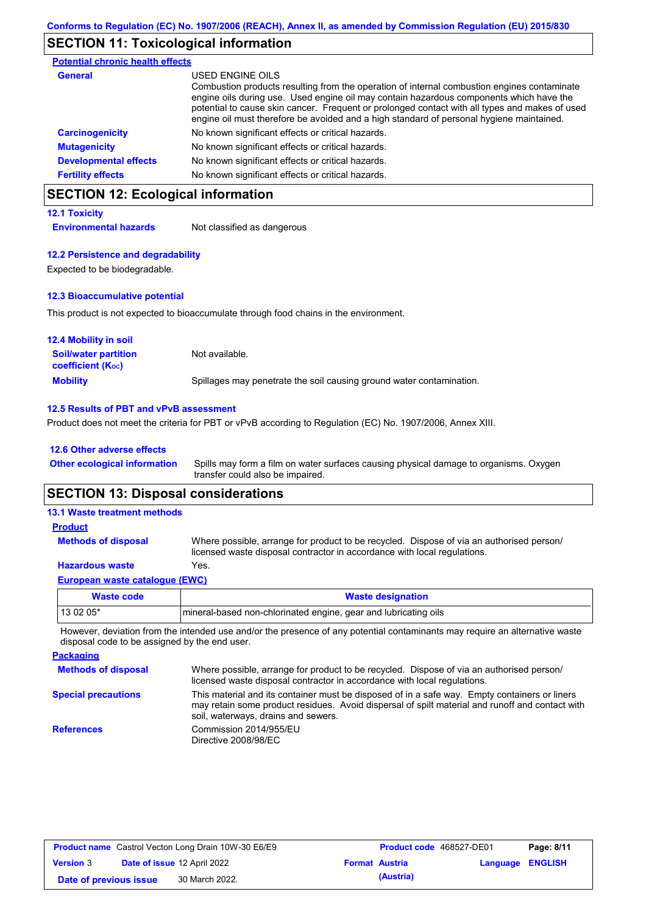# **SECTION 11: Toxicological information**

| <b>Potential chronic health effects</b> |                                                                                                                                                                                                                                                                                                                                                                                                          |
|-----------------------------------------|----------------------------------------------------------------------------------------------------------------------------------------------------------------------------------------------------------------------------------------------------------------------------------------------------------------------------------------------------------------------------------------------------------|
| General                                 | USED ENGINE OILS<br>Combustion products resulting from the operation of internal combustion engines contaminate<br>engine oils during use. Used engine oil may contain hazardous components which have the<br>potential to cause skin cancer. Frequent or prolonged contact with all types and makes of used<br>engine oil must therefore be avoided and a high standard of personal hygiene maintained. |
| <b>Carcinogenicity</b>                  | No known significant effects or critical hazards.                                                                                                                                                                                                                                                                                                                                                        |
| <b>Mutagenicity</b>                     | No known significant effects or critical hazards.                                                                                                                                                                                                                                                                                                                                                        |
| <b>Developmental effects</b>            | No known significant effects or critical hazards.                                                                                                                                                                                                                                                                                                                                                        |
| <b>Fertility effects</b>                | No known significant effects or critical hazards.                                                                                                                                                                                                                                                                                                                                                        |

# **SECTION 12: Ecological information**

### **12.1 Toxicity**

**Environmental hazards** Not classified as dangerous

### **12.2 Persistence and degradability**

Expected to be biodegradable.

### **12.3 Bioaccumulative potential**

This product is not expected to bioaccumulate through food chains in the environment.

| <b>12.4 Mobility in soil</b>                            |                                                                      |
|---------------------------------------------------------|----------------------------------------------------------------------|
| <b>Soil/water partition</b><br><b>coefficient (Koc)</b> | Not available.                                                       |
| <b>Mobility</b>                                         | Spillages may penetrate the soil causing ground water contamination. |

### **12.5 Results of PBT and vPvB assessment**

Product does not meet the criteria for PBT or vPvB according to Regulation (EC) No. 1907/2006, Annex XIII.

| 12.6 Other adverse effects          |                                                                                                                           |
|-------------------------------------|---------------------------------------------------------------------------------------------------------------------------|
| <b>Other ecological information</b> | Spills may form a film on water surfaces causing physical damage to organisms. Oxygen<br>transfer could also be impaired. |

# **SECTION 13: Disposal considerations**

| <b>Waste code</b>                   | <b>Wasto designation</b>                                                                                                                                             |
|-------------------------------------|----------------------------------------------------------------------------------------------------------------------------------------------------------------------|
| European waste catalogue (EWC)      |                                                                                                                                                                      |
| <b>Hazardous waste</b>              | Yes.                                                                                                                                                                 |
| <b>Methods of disposal</b>          | Where possible, arrange for product to be recycled. Dispose of via an authorised person/<br>licensed waste disposal contractor in accordance with local regulations. |
| <b>Product</b>                      |                                                                                                                                                                      |
| <b>13.1 Waste treatment methods</b> |                                                                                                                                                                      |

| Waste code | <b>Waste designation</b>                                         |
|------------|------------------------------------------------------------------|
| $130205*$  | Imineral-based non-chlorinated engine, gear and lubricating oils |

However, deviation from the intended use and/or the presence of any potential contaminants may require an alternative waste disposal code to be assigned by the end user.

**Packaging Methods of disposal Special precautions** Where possible, arrange for product to be recycled. Dispose of via an authorised person/ licensed waste disposal contractor in accordance with local regulations. This material and its container must be disposed of in a safe way. Empty containers or liners may retain some product residues. Avoid dispersal of spilt material and runoff and contact with soil, waterways, drains and sewers. **References** Commission 2014/955/EU Directive 2008/98/EC

| <b>Product name</b> Castrol Vecton Long Drain 10W-30 E6/E9 |  | <b>Product code</b> 468527-DE01 |  | Page: 8/11            |                         |  |
|------------------------------------------------------------|--|---------------------------------|--|-----------------------|-------------------------|--|
| <b>Version 3</b>                                           |  | Date of issue 12 April 2022     |  | <b>Format Austria</b> | <b>Language ENGLISH</b> |  |
| Date of previous issue                                     |  | 30 March 2022.                  |  | (Austria)             |                         |  |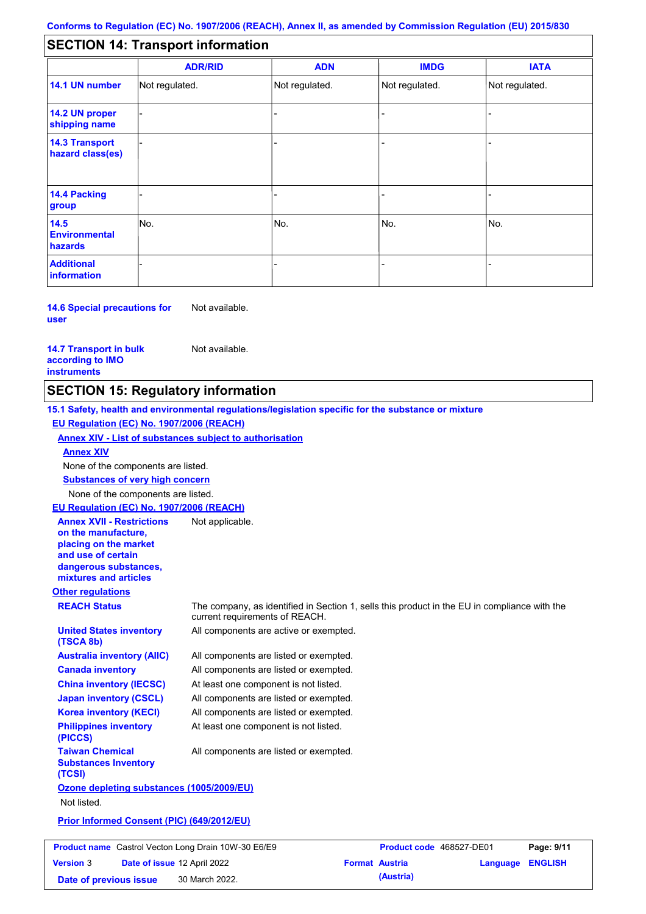#### - - - - - - - - - Not regulated. Not regulated. Not regulated. - - - **SECTION 14: Transport information ADR/RID IMDG IATA 14.1 UN number 14.2 UN proper shipping name 14.3 Transport hazard class(es) 14.4 Packing group ADN Additional information 14.5 Environmental hazards** No. 1980 | No. 1980 | No. 1980 | No. 1980 | No. 1980 | No. 1980 | No. 1980 | No. 1980 | No. 1980 | No. 1980 | Not regulated. - -<br>No. - -

**14.6 Special precautions for user** Not available.

### **14.7 Transport in bulk according to IMO instruments**

Not available.

# **SECTION 15: Regulatory information**

**Other regulations REACH Status** The company, as identified in Section 1, sells this product in the EU in compliance with the current requirements of REACH. **15.1 Safety, health and environmental regulations/legislation specific for the substance or mixture EU Regulation (EC) No. 1907/2006 (REACH) Annex XIV - List of substances subject to authorisation Substances of very high concern** None of the components are listed. All components are listed or exempted. All components are listed or exempted. At least one component is not listed. All components are listed or exempted. All components are active or exempted. All components are listed or exempted. At least one component is not listed. **United States inventory (TSCA 8b) Australia inventory (AIIC) Canada inventory China inventory (IECSC) Japan inventory (CSCL) Korea inventory (KECI) Philippines inventory (PICCS) Taiwan Chemical Substances Inventory (TCSI)** All components are listed or exempted. **Ozone depleting substances (1005/2009/EU)** Not listed. **Prior Informed Consent (PIC) (649/2012/EU)** None of the components are listed. **Annex XIV EU Regulation (EC) No. 1907/2006 (REACH) Annex XVII - Restrictions on the manufacture, placing on the market and use of certain dangerous substances, mixtures and articles** Not applicable.

| <b>Product name</b> Castrol Vecton Long Drain 10W-30 E6/E9 |  | <b>Product code</b> 468527-DE01 |                       | Page: 9/11 |                         |  |
|------------------------------------------------------------|--|---------------------------------|-----------------------|------------|-------------------------|--|
| <b>Version 3</b>                                           |  | Date of issue 12 April 2022     | <b>Format Austria</b> |            | <b>Language ENGLISH</b> |  |
| Date of previous issue                                     |  | 30 March 2022.                  |                       | (Austria)  |                         |  |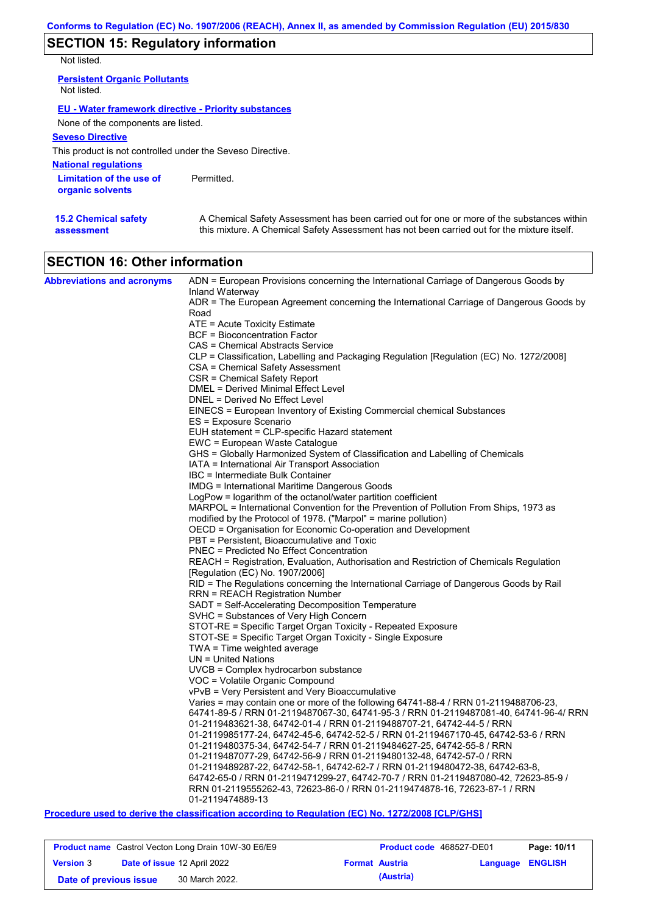# **SECTION 15: Regulatory information**

Not listed.

**15.2 Chemical safety** 

**assessment**

| <b>Persistent Organic Pollutants</b><br>Not listed.         |            |
|-------------------------------------------------------------|------------|
| <b>EU - Water framework directive - Priority substances</b> |            |
| None of the components are listed.                          |            |
| <b>Seveso Directive</b>                                     |            |
| This product is not controlled under the Seveso Directive.  |            |
| <b>National regulations</b>                                 |            |
| Limitation of the use of<br>organic solvents                | Permitted. |

A Chemical Safety Assessment has been carried out for one or more of the substances within this mixture. A Chemical Safety Assessment has not been carried out for the mixture itself.

| <b>SECTION 16: Other information</b> |  |
|--------------------------------------|--|

| <b>Abbreviations and acronyms</b> | ADN = European Provisions concerning the International Carriage of Dangerous Goods by                       |
|-----------------------------------|-------------------------------------------------------------------------------------------------------------|
|                                   | Inland Waterway<br>ADR = The European Agreement concerning the International Carriage of Dangerous Goods by |
|                                   | Road                                                                                                        |
|                                   | ATE = Acute Toxicity Estimate                                                                               |
|                                   | BCF = Bioconcentration Factor                                                                               |
|                                   | <b>CAS = Chemical Abstracts Service</b>                                                                     |
|                                   | CLP = Classification, Labelling and Packaging Regulation [Regulation (EC) No. 1272/2008]                    |
|                                   | CSA = Chemical Safety Assessment                                                                            |
|                                   | CSR = Chemical Safety Report                                                                                |
|                                   | DMEL = Derived Minimal Effect Level                                                                         |
|                                   | DNEL = Derived No Effect Level                                                                              |
|                                   | EINECS = European Inventory of Existing Commercial chemical Substances                                      |
|                                   | ES = Exposure Scenario                                                                                      |
|                                   | EUH statement = CLP-specific Hazard statement                                                               |
|                                   | EWC = European Waste Catalogue                                                                              |
|                                   | GHS = Globally Harmonized System of Classification and Labelling of Chemicals                               |
|                                   | IATA = International Air Transport Association                                                              |
|                                   | IBC = Intermediate Bulk Container                                                                           |
|                                   | IMDG = International Maritime Dangerous Goods                                                               |
|                                   | LogPow = logarithm of the octanol/water partition coefficient                                               |
|                                   | MARPOL = International Convention for the Prevention of Pollution From Ships, 1973 as                       |
|                                   | modified by the Protocol of 1978. ("Marpol" = marine pollution)                                             |
|                                   | OECD = Organisation for Economic Co-operation and Development                                               |
|                                   | PBT = Persistent, Bioaccumulative and Toxic                                                                 |
|                                   | <b>PNEC</b> = Predicted No Effect Concentration                                                             |
|                                   | REACH = Registration, Evaluation, Authorisation and Restriction of Chemicals Regulation                     |
|                                   | [Regulation (EC) No. 1907/2006]                                                                             |
|                                   | RID = The Regulations concerning the International Carriage of Dangerous Goods by Rail                      |
|                                   | RRN = REACH Registration Number                                                                             |
|                                   | SADT = Self-Accelerating Decomposition Temperature                                                          |
|                                   | SVHC = Substances of Very High Concern                                                                      |
|                                   | STOT-RE = Specific Target Organ Toxicity - Repeated Exposure                                                |
|                                   | STOT-SE = Specific Target Organ Toxicity - Single Exposure                                                  |
|                                   | $TWA = Time weighted average$                                                                               |
|                                   | $UN = United Nations$                                                                                       |
|                                   | UVCB = Complex hydrocarbon substance                                                                        |
|                                   | VOC = Volatile Organic Compound                                                                             |
|                                   | vPvB = Very Persistent and Very Bioaccumulative                                                             |
|                                   | Varies = may contain one or more of the following 64741-88-4 / RRN 01-2119488706-23,                        |
|                                   | 64741-89-5 / RRN 01-2119487067-30, 64741-95-3 / RRN 01-2119487081-40, 64741-96-4/ RRN                       |
|                                   | 01-2119483621-38, 64742-01-4 / RRN 01-2119488707-21, 64742-44-5 / RRN                                       |
|                                   | 01-2119985177-24, 64742-45-6, 64742-52-5 / RRN 01-2119467170-45, 64742-53-6 / RRN                           |
|                                   | 01-2119480375-34, 64742-54-7 / RRN 01-2119484627-25, 64742-55-8 / RRN                                       |
|                                   | 01-2119487077-29, 64742-56-9 / RRN 01-2119480132-48, 64742-57-0 / RRN                                       |
|                                   | 01-2119489287-22, 64742-58-1, 64742-62-7 / RRN 01-2119480472-38, 64742-63-8,                                |
|                                   | 64742-65-0 / RRN 01-2119471299-27, 64742-70-7 / RRN 01-2119487080-42, 72623-85-9 /                          |
|                                   | RRN 01-2119555262-43, 72623-86-0 / RRN 01-2119474878-16, 72623-87-1 / RRN                                   |
|                                   | 01-2119474889-13                                                                                            |

### **Procedure used to derive the classification according to Regulation (EC) No. 1272/2008 [CLP/GHS]**

|                        |                                    | <b>Product name</b> Castrol Vecton Long Drain 10W-30 E6/E9 | <b>Product code</b> 468527-DE01 |                         | Page: 10/11 |
|------------------------|------------------------------------|------------------------------------------------------------|---------------------------------|-------------------------|-------------|
| <b>Version 3</b>       | <b>Date of issue 12 April 2022</b> |                                                            | <b>Format Austria</b>           | <b>Language ENGLISH</b> |             |
| Date of previous issue |                                    | 30 March 2022.                                             | (Austria)                       |                         |             |